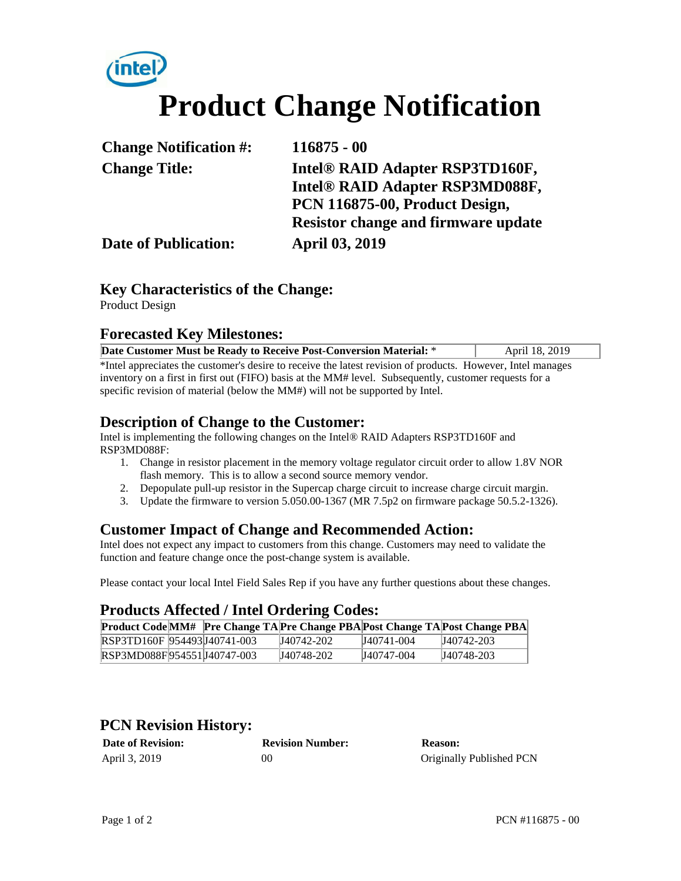# **Product Change Notification**

| <b>Change Notification #:</b> | $116875 - 00$                              |  |  |
|-------------------------------|--------------------------------------------|--|--|
| <b>Change Title:</b>          | Intel® RAID Adapter RSP3TD160F,            |  |  |
|                               | Intel® RAID Adapter RSP3MD088F,            |  |  |
|                               | PCN 116875-00, Product Design,             |  |  |
|                               | <b>Resistor change and firmware update</b> |  |  |
| <b>Date of Publication:</b>   | <b>April 03, 2019</b>                      |  |  |

# **Key Characteristics of the Change:**

Product Design

#### **Forecasted Key Milestones:**

| Date Customer Must be Ready to Receive Post-Conversion Material: *                                          | April 18, 2019 |  |  |  |
|-------------------------------------------------------------------------------------------------------------|----------------|--|--|--|
| *Intel appreciates the customer's desire to receive the latest revision of products. However, Intel manages |                |  |  |  |
| inventory on a first in first out (FIFO) basis at the MM# level. Subsequently, customer requests for a      |                |  |  |  |
| specific revision of material (below the MM#) will not be supported by Intel.                               |                |  |  |  |

#### **Description of Change to the Customer:**

Intel is implementing the following changes on the Intel® RAID Adapters RSP3TD160F and RSP3MD088F:

- 1. Change in resistor placement in the memory voltage regulator circuit order to allow 1.8V NOR flash memory. This is to allow a second source memory vendor.
- 2. Depopulate pull-up resistor in the Supercap charge circuit to increase charge circuit margin.
- 3. Update the firmware to version 5.050.00-1367 (MR 7.5p2 on firmware package 50.5.2-1326).

#### **Customer Impact of Change and Recommended Action:**

Intel does not expect any impact to customers from this change. Customers may need to validate the function and feature change once the post-change system is available.

Please contact your local Intel Field Sales Rep if you have any further questions about these changes.

# **Products Affected / Intel Ordering Codes:**

|                              |  |            |            | Product Code MM# Pre Change TA Pre Change PBA Post Change TA Post Change PBA |
|------------------------------|--|------------|------------|------------------------------------------------------------------------------|
| RSP3TD160F 954493J40741-003  |  | J40742-202 | J40741-004 | J40742-203                                                                   |
| RSP3MD088F 954551 J40747-003 |  | J40748-202 | J40747-004 | J40748-203                                                                   |

# **PCN Revision History:**

| <b>Date of Revision:</b> | <b>Revision Number:</b> | <b>Reason:</b>           |
|--------------------------|-------------------------|--------------------------|
| April 3, 2019            | 90                      | Originally Published PCN |